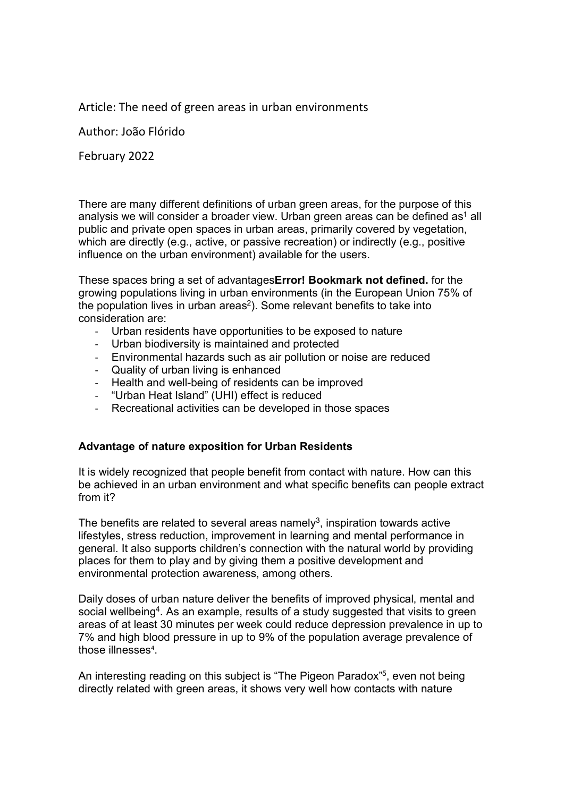Article: The need of green areas in urban environments

Author: João Flórido

February 2022

There are many different definitions of urban green areas, for the purpose of this analysis we will consider a broader view. Urban green areas can be defined as<sup>1</sup> all public and private open spaces in urban areas, primarily covered by vegetation, which are directly (e.g., active, or passive recreation) or indirectly (e.g., positive influence on the urban environment) available for the users.

These spaces bring a set of advantagesError! Bookmark not defined. for the growing populations living in urban environments (in the European Union 75% of the population lives in urban areas<sup>2</sup>). Some relevant benefits to take into consideration are:

- Urban residents have opportunities to be exposed to nature
- Urban biodiversity is maintained and protected
- Environmental hazards such as air pollution or noise are reduced
- Quality of urban living is enhanced
- Health and well-being of residents can be improved
- "Urban Heat Island" (UHI) effect is reduced
- Recreational activities can be developed in those spaces

# Advantage of nature exposition for Urban Residents

It is widely recognized that people benefit from contact with nature. How can this be achieved in an urban environment and what specific benefits can people extract from it?

The benefits are related to several areas namely<sup>3</sup>, inspiration towards active lifestyles, stress reduction, improvement in learning and mental performance in general. It also supports children's connection with the natural world by providing places for them to play and by giving them a positive development and environmental protection awareness, among others.

Daily doses of urban nature deliver the benefits of improved physical, mental and social wellbeing<sup>4</sup>. As an example, results of a study suggested that visits to green areas of at least 30 minutes per week could reduce depression prevalence in up to 7% and high blood pressure in up to 9% of the population average prevalence of those illnesses<sup>4</sup>.

An interesting reading on this subject is "The Pigeon Paradox"<sup>5</sup>, even not being directly related with green areas, it shows very well how contacts with nature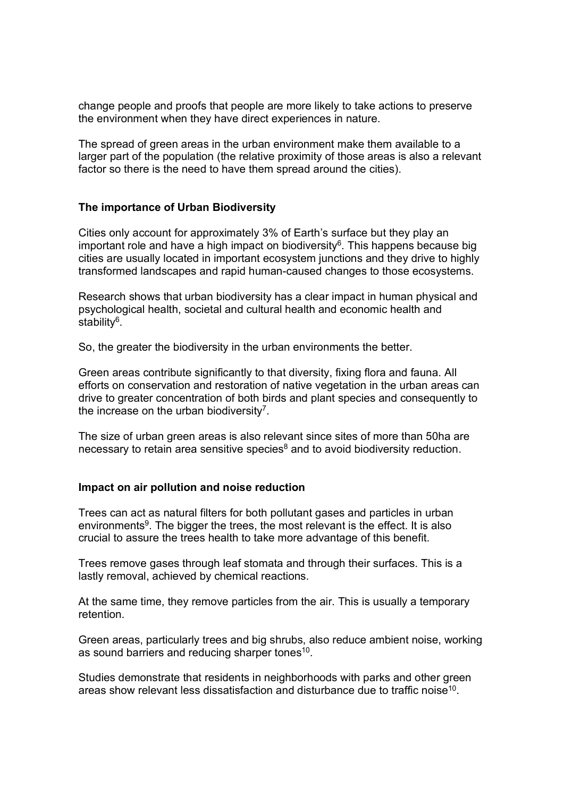change people and proofs that people are more likely to take actions to preserve the environment when they have direct experiences in nature.

The spread of green areas in the urban environment make them available to a larger part of the population (the relative proximity of those areas is also a relevant factor so there is the need to have them spread around the cities).

## The importance of Urban Biodiversity

Cities only account for approximately 3% of Earth's surface but they play an important role and have a high impact on biodiversity $6$ . This happens because big cities are usually located in important ecosystem junctions and they drive to highly transformed landscapes and rapid human-caused changes to those ecosystems.

Research shows that urban biodiversity has a clear impact in human physical and psychological health, societal and cultural health and economic health and stability<sup>6</sup>.

So, the greater the biodiversity in the urban environments the better.

Green areas contribute significantly to that diversity, fixing flora and fauna. All efforts on conservation and restoration of native vegetation in the urban areas can drive to greater concentration of both birds and plant species and consequently to the increase on the urban biodiversity<sup>7</sup>.

The size of urban green areas is also relevant since sites of more than 50ha are necessary to retain area sensitive species $8$  and to avoid biodiversity reduction.

#### Impact on air pollution and noise reduction

Trees can act as natural filters for both pollutant gases and particles in urban environments<sup>9</sup>. The bigger the trees, the most relevant is the effect. It is also crucial to assure the trees health to take more advantage of this benefit.

Trees remove gases through leaf stomata and through their surfaces. This is a lastly removal, achieved by chemical reactions.

At the same time, they remove particles from the air. This is usually a temporary retention.

Green areas, particularly trees and big shrubs, also reduce ambient noise, working as sound barriers and reducing sharper tones<sup>10</sup>.

Studies demonstrate that residents in neighborhoods with parks and other green areas show relevant less dissatisfaction and disturbance due to traffic noise<sup>10</sup>.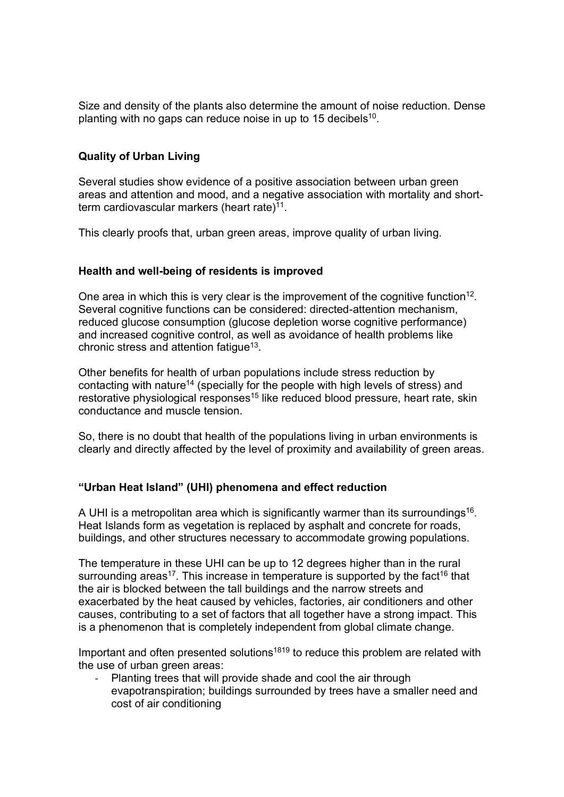Size and density of the plants also determine the amount of noise reduction. Dense planting with no gaps can reduce noise in up to 15 decibels<sup>10</sup>.

## Quality of Urban Living

Several studies show evidence of a positive association between urban green areas and attention and mood, and a negative association with mortality and shortterm cardiovascular markers (heart rate)<sup>11</sup>.

This clearly proofs that, urban green areas, improve quality of urban living.

## Health and well-being of residents is improved

One area in which this is very clear is the improvement of the cognitive function<sup>12</sup>. Several cognitive functions can be considered: directed-attention mechanism, reduced glucose consumption (glucose depletion worse cognitive performance) and increased cognitive control, as well as avoidance of health problems like chronic stress and attention fatigue<sup>13</sup>.

Other benefits for health of urban populations include stress reduction by contacting with nature<sup>14</sup> (specially for the people with high levels of stress) and restorative physiological responses<sup>15</sup> like reduced blood pressure, heart rate, skin conductance and muscle tension.

So, there is no doubt that health of the populations living in urban environments is clearly and directly affected by the level of proximity and availability of green areas.

## "Urban Heat Island" (UHI) phenomena and effect reduction

A UHI is a metropolitan area which is significantly warmer than its surroundings<sup>16</sup>. Heat Islands form as vegetation is replaced by asphalt and concrete for roads, buildings, and other structures necessary to accommodate growing populations.

The temperature in these UHI can be up to 12 degrees higher than in the rural surrounding areas<sup>17</sup>. This increase in temperature is supported by the fact<sup>16</sup> that the air is blocked between the tall buildings and the narrow streets and exacerbated by the heat caused by vehicles, factories, air conditioners and other causes, contributing to a set of factors that all together have a strong impact. This is a phenomenon that is completely independent from global climate change.

Important and often presented solutions<sup>1819</sup> to reduce this problem are related with the use of urban green areas:

Planting trees that will provide shade and cool the air through evapotranspiration; buildings surrounded by trees have a smaller need and cost of air conditioning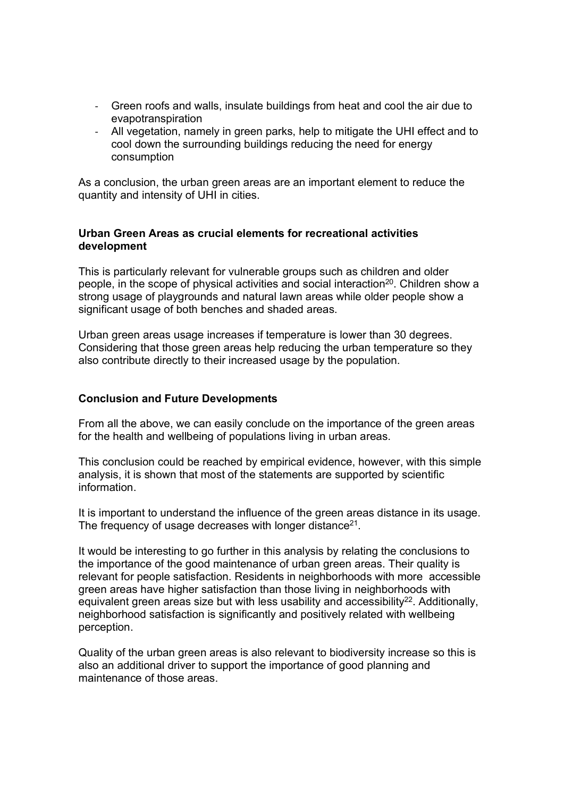- Green roofs and walls, insulate buildings from heat and cool the air due to evapotranspiration
- All vegetation, namely in green parks, help to mitigate the UHI effect and to cool down the surrounding buildings reducing the need for energy consumption

As a conclusion, the urban green areas are an important element to reduce the quantity and intensity of UHI in cities.

## Urban Green Areas as crucial elements for recreational activities development

This is particularly relevant for vulnerable groups such as children and older people, in the scope of physical activities and social interaction<sup>20</sup>. Children show a strong usage of playgrounds and natural lawn areas while older people show a significant usage of both benches and shaded areas.

Urban green areas usage increases if temperature is lower than 30 degrees. Considering that those green areas help reducing the urban temperature so they also contribute directly to their increased usage by the population.

## Conclusion and Future Developments

From all the above, we can easily conclude on the importance of the green areas for the health and wellbeing of populations living in urban areas.

This conclusion could be reached by empirical evidence, however, with this simple analysis, it is shown that most of the statements are supported by scientific information.

It is important to understand the influence of the green areas distance in its usage. The frequency of usage decreases with longer distance<sup>21</sup>.

It would be interesting to go further in this analysis by relating the conclusions to the importance of the good maintenance of urban green areas. Their quality is relevant for people satisfaction. Residents in neighborhoods with more accessible green areas have higher satisfaction than those living in neighborhoods with equivalent green areas size but with less usability and accessibility<sup>22</sup>. Additionally, neighborhood satisfaction is significantly and positively related with wellbeing perception.

Quality of the urban green areas is also relevant to biodiversity increase so this is also an additional driver to support the importance of good planning and maintenance of those areas.